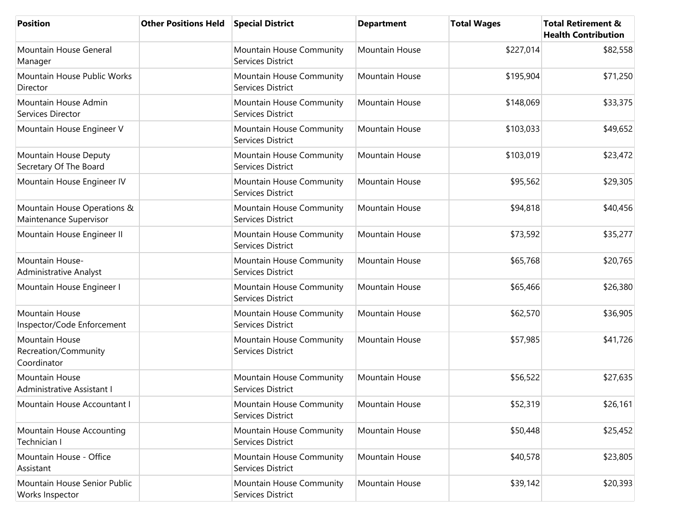| <b>Position</b>                                       | <b>Other Positions Held</b> | <b>Special District</b>                       | <b>Department</b> | <b>Total Wages</b> | <b>Total Retirement &amp;</b><br><b>Health Contribution</b> |
|-------------------------------------------------------|-----------------------------|-----------------------------------------------|-------------------|--------------------|-------------------------------------------------------------|
| Mountain House General<br>Manager                     |                             | Mountain House Community<br>Services District | Mountain House    | \$227,014          | \$82,558                                                    |
| Mountain House Public Works<br>Director               |                             | Mountain House Community<br>Services District | Mountain House    | \$195,904          | \$71,250                                                    |
| Mountain House Admin<br>Services Director             |                             | Mountain House Community<br>Services District | Mountain House    | \$148,069          | \$33,375                                                    |
| Mountain House Engineer V                             |                             | Mountain House Community<br>Services District | Mountain House    | \$103,033          | \$49,652                                                    |
| Mountain House Deputy<br>Secretary Of The Board       |                             | Mountain House Community<br>Services District | Mountain House    | \$103,019          | \$23,472                                                    |
| Mountain House Engineer IV                            |                             | Mountain House Community<br>Services District | Mountain House    | \$95,562           | \$29,305                                                    |
| Mountain House Operations &<br>Maintenance Supervisor |                             | Mountain House Community<br>Services District | Mountain House    | \$94,818           | \$40,456                                                    |
| Mountain House Engineer II                            |                             | Mountain House Community<br>Services District | Mountain House    | \$73,592           | \$35,277                                                    |
| Mountain House-<br>Administrative Analyst             |                             | Mountain House Community<br>Services District | Mountain House    | \$65,768           | \$20,765                                                    |
| Mountain House Engineer I                             |                             | Mountain House Community<br>Services District | Mountain House    | \$65,466           | \$26,380                                                    |
| Mountain House<br>Inspector/Code Enforcement          |                             | Mountain House Community<br>Services District | Mountain House    | \$62,570           | \$36,905                                                    |
| Mountain House<br>Recreation/Community<br>Coordinator |                             | Mountain House Community<br>Services District | Mountain House    | \$57,985           | \$41,726                                                    |
| Mountain House<br>Administrative Assistant I          |                             | Mountain House Community<br>Services District | Mountain House    | \$56,522           | \$27,635                                                    |
| Mountain House Accountant I                           |                             | Mountain House Community<br>Services District | Mountain House    | \$52,319           | \$26,161                                                    |
| Mountain House Accounting<br>Technician I             |                             | Mountain House Community<br>Services District | Mountain House    | \$50,448           | \$25,452                                                    |
| Mountain House - Office<br>Assistant                  |                             | Mountain House Community<br>Services District | Mountain House    | \$40,578           | \$23,805                                                    |
| Mountain House Senior Public<br>Works Inspector       |                             | Mountain House Community<br>Services District | Mountain House    | \$39,142           | \$20,393                                                    |